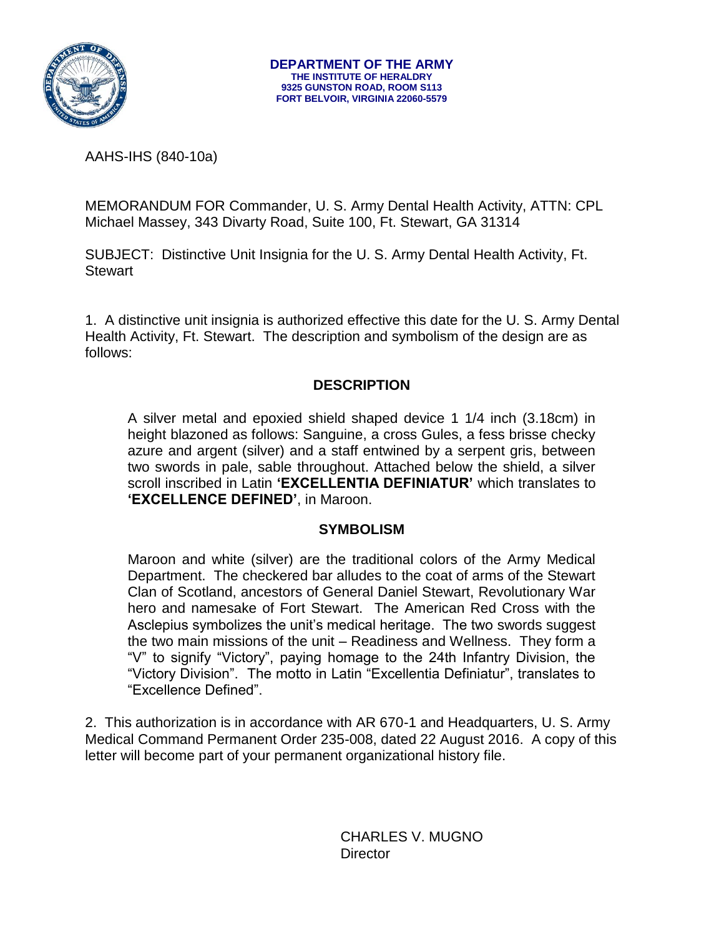

AAHS-IHS (840-10a)

MEMORANDUM FOR Commander, U. S. Army Dental Health Activity, ATTN: CPL Michael Massey, 343 Divarty Road, Suite 100, Ft. Stewart, GA 31314

SUBJECT: Distinctive Unit Insignia for the U. S. Army Dental Health Activity, Ft. **Stewart** 

1. A distinctive unit insignia is authorized effective this date for the U. S. Army Dental Health Activity, Ft. Stewart. The description and symbolism of the design are as follows:

#### **DESCRIPTION**

A silver metal and epoxied shield shaped device 1 1/4 inch (3.18cm) in height blazoned as follows: Sanguine, a cross Gules, a fess brisse checky azure and argent (silver) and a staff entwined by a serpent gris, between two swords in pale, sable throughout. Attached below the shield, a silver scroll inscribed in Latin **'EXCELLENTIA DEFINIATUR'** which translates to **'EXCELLENCE DEFINED'**, in Maroon.

#### **SYMBOLISM**

Maroon and white (silver) are the traditional colors of the Army Medical Department. The checkered bar alludes to the coat of arms of the Stewart Clan of Scotland, ancestors of General Daniel Stewart, Revolutionary War hero and namesake of Fort Stewart. The American Red Cross with the Asclepius symbolizes the unit's medical heritage. The two swords suggest the two main missions of the unit – Readiness and Wellness. They form a "V" to signify "Victory", paying homage to the 24th Infantry Division, the "Victory Division". The motto in Latin "Excellentia Definiatur", translates to "Excellence Defined".

2. This authorization is in accordance with AR 670-1 and Headquarters, U. S. Army Medical Command Permanent Order 235-008, dated 22 August 2016. A copy of this letter will become part of your permanent organizational history file.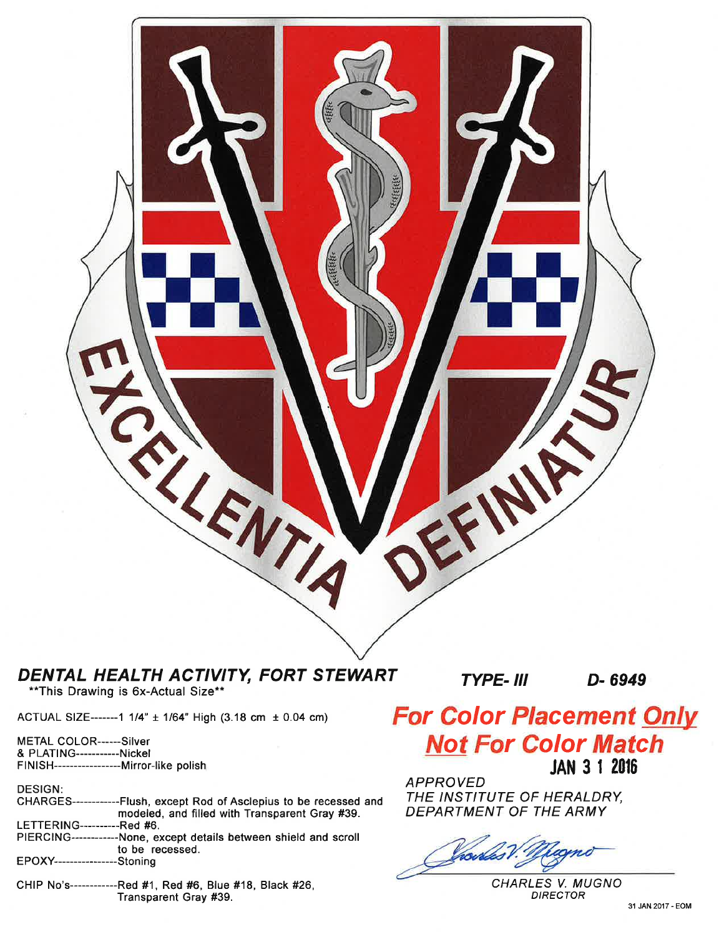

## DENTAL HEALTH ACTIVITY, FORT STEWART

\*\* This Drawing is 6x-Actual Size\*\*

ACTUAL SIZE-------1 1/4" ± 1/64" High (3.18 cm ± 0.04 cm)

METAL COLOR------Silver & PLATING-----------Nickel FINISH---------------------Mirror-like polish

**DESIGN:** 

| CHARGES-------------Flush, except Rod of Asclepius to be recessed and |
|-----------------------------------------------------------------------|
|                                                                       |
| modeled, and filled with Transparent Gray #39.                        |
|                                                                       |
| LETTERING----------Red #6.                                            |
|                                                                       |
| PIERCING------------None, except details between shield and scroll    |
|                                                                       |
|                                                                       |
| to be recessed.                                                       |
|                                                                       |
| EPOXY-----------------Stoning                                         |
|                                                                       |
|                                                                       |
|                                                                       |

CHIP No's------------Red #1, Red #6, Blue #18, Black #26, Transparent Gray #39.

**TYPE- III** 

D-6949

# **For Color Placement Only Not For Color Match JAN 3 1 2016**

**APPROVED** THE INSTITUTE OF HERALDRY, DEPARTMENT OF THE ARMY

CHARLES V. MUGNO **DIRECTOR**